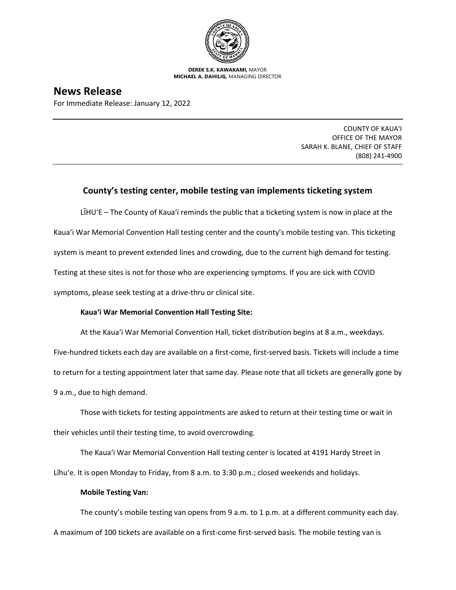

**DEREK S.K. KAWAKAMI,** MAYOR **MICHAEL A. DAHILIG,** MANAGING DIRECTOR

## **News Release**

For Immediate Release: January 12, 2022

COUNTY OF KAUA'I OFFICE OF THE MAYOR SARAH K. BLANE, CHIEF OF STAFF (808) 241-4900

## **County's testing center, mobile testing van implements ticketing system**

LĪHUʻE – The County of Kaua'i reminds the public that a ticketing system is now in place at the Kaua'i War Memorial Convention Hall testing center and the county's mobile testing van. This ticketing system is meant to prevent extended lines and crowding, due to the current high demand for testing. Testing at these sites is not for those who are experiencing symptoms. If you are sick with COVID symptoms, please seek testing at a drive-thru or clinical site.

## **Kaua'i War Memorial Convention Hall Testing Site:**

At the Kaua'i War Memorial Convention Hall, ticket distribution begins at 8 a.m., weekdays.

Five-hundred tickets each day are available on a first-come, first-served basis. Tickets will include a time to return for a testing appointment later that same day. Please note that all tickets are generally gone by 9 a.m., due to high demand.

Those with tickets for testing appointments are asked to return at their testing time or wait in their vehicles until their testing time, to avoid overcrowding.

The Kaua'i War Memorial Convention Hall testing center is located at 4191 Hardy Street in Līhu'e. It is open Monday to Friday, from 8 a.m. to 3:30 p.m.; closed weekends and holidays.

## **Mobile Testing Van:**

The county's mobile testing van opens from 9 a.m. to 1 p.m. at a different community each day. A maximum of 100 tickets are available on a first-come first-served basis. The mobile testing van is